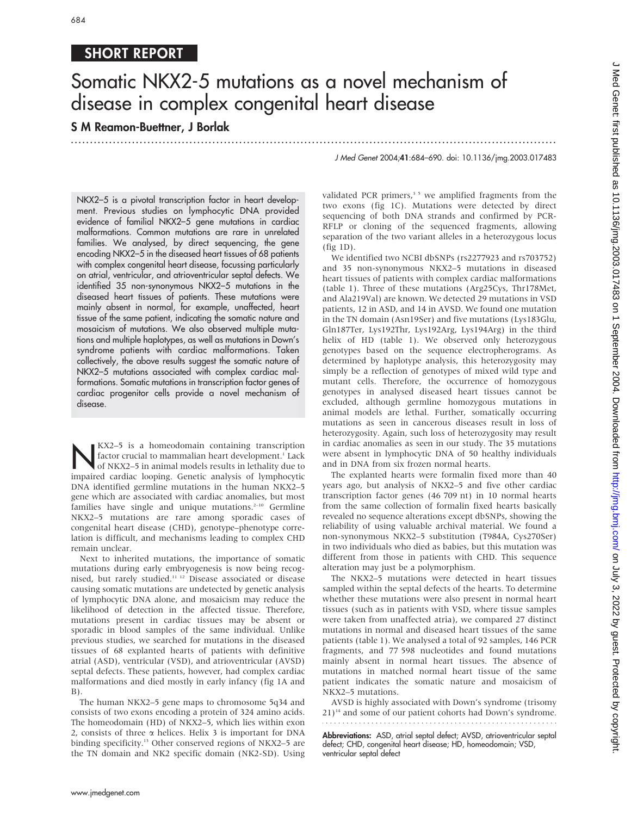## SHORT REPORT

# Somatic NKX2-5 mutations as a novel mechanism of disease in complex congenital heart disease

...............................................................................................................................

### S M Reamon-Buettner, J Borlak

J Med Genet 2004;41:684–690. doi: 10.1136/jmg.2003.017483

NKX2–5 is a pivotal transcription factor in heart development. Previous studies on lymphocytic DNA provided evidence of familial NKX2–5 gene mutations in cardiac malformations. Common mutations are rare in unrelated families. We analysed, by direct sequencing, the gene encoding NKX2–5 in the diseased heart tissues of 68 patients with complex congenital heart disease, focussing particularly on atrial, ventricular, and atrioventricular septal defects. We identified 35 non-synonymous NKX2–5 mutations in the diseased heart tissues of patients. These mutations were mainly absent in normal, for example, unaffected, heart tissue of the same patient, indicating the somatic nature and mosaicism of mutations. We also observed multiple mutations and multiple haplotypes, as well as mutations in Down's syndrome patients with cardiac malformations. Taken collectively, the above results suggest the somatic nature of NKX2–5 mutations associated with complex cardiac malformations. Somatic mutations in transcription factor genes of cardiac progenitor cells provide a novel mechanism of disease.

KX2–5 is a homeodomain containing transcription<br>factor crucial to mammalian heart development.<sup>1</sup> Lack<br>of NKX2–5 in animal models results in lethality due to<br>impaired cardiac looping. Censtic analysis of lymphocytic factor crucial to mammalian heart development.<sup>1</sup> Lack impaired cardiac looping. Genetic analysis of lymphocytic DNA identified germline mutations in the human NKX2–5 gene which are associated with cardiac anomalies, but most families have single and unique mutations. $2-10$  Germline NKX2–5 mutations are rare among sporadic cases of congenital heart disease (CHD), genotype–phenotype correlation is difficult, and mechanisms leading to complex CHD remain unclear.

Next to inherited mutations, the importance of somatic mutations during early embryogenesis is now being recognised, but rarely studied.11 12 Disease associated or disease causing somatic mutations are undetected by genetic analysis of lymphocytic DNA alone, and mosaicism may reduce the likelihood of detection in the affected tissue. Therefore, mutations present in cardiac tissues may be absent or sporadic in blood samples of the same individual. Unlike previous studies, we searched for mutations in the diseased tissues of 68 explanted hearts of patients with definitive atrial (ASD), ventricular (VSD), and atrioventricular (AVSD) septal defects. These patients, however, had complex cardiac malformations and died mostly in early infancy (fig 1A and  $B$ ).

The human NKX2–5 gene maps to chromosome 5q34 and consists of two exons encoding a protein of 324 amino acids. The homeodomain (HD) of NKX2–5, which lies within exon 2, consists of three  $\alpha$  helices. Helix 3 is important for DNA binding specificity.<sup>13</sup> Other conserved regions of NKX2–5 are the TN domain and NK2 specific domain (NK2-SD). Using validated PCR primers, $35$  we amplified fragments from the two exons (fig 1C). Mutations were detected by direct sequencing of both DNA strands and confirmed by PCR-RFLP or cloning of the sequenced fragments, allowing separation of the two variant alleles in a heterozygous locus (fig 1D).

We identified two NCBI dbSNPs (rs2277923 and rs703752) and 35 non-synonymous NKX2–5 mutations in diseased heart tissues of patients with complex cardiac malformations (table 1). Three of these mutations (Arg25Cys, Thr178Met, and Ala219Val) are known. We detected 29 mutations in VSD patients, 12 in ASD, and 14 in AVSD. We found one mutation in the TN domain (Asn19Ser) and five mutations (Lys183Glu, Gln187Ter, Lys192Thr, Lys192Arg, Lys194Arg) in the third helix of HD (table 1). We observed only heterozygous genotypes based on the sequence electropherograms. As determined by haplotype analysis, this heterozygosity may simply be a reflection of genotypes of mixed wild type and mutant cells. Therefore, the occurrence of homozygous genotypes in analysed diseased heart tissues cannot be excluded, although germline homozygous mutations in animal models are lethal. Further, somatically occurring mutations as seen in cancerous diseases result in loss of heterozygosity. Again, such loss of heterozygosity may result in cardiac anomalies as seen in our study. The 35 mutations were absent in lymphocytic DNA of 50 healthy individuals and in DNA from six frozen normal hearts.

The explanted hearts were formalin fixed more than 40 years ago, but analysis of NKX2–5 and five other cardiac transcription factor genes (46 709 nt) in 10 normal hearts from the same collection of formalin fixed hearts basically revealed no sequence alterations except dbSNPs, showing the reliability of using valuable archival material. We found a non-synonymous NKX2–5 substitution (T984A, Cys270Ser) in two individuals who died as babies, but this mutation was different from those in patients with CHD. This sequence alteration may just be a polymorphism.

The NKX2–5 mutations were detected in heart tissues sampled within the septal defects of the hearts. To determine whether these mutations were also present in normal heart tissues (such as in patients with VSD, where tissue samples were taken from unaffected atria), we compared 27 distinct mutations in normal and diseased heart tissues of the same patients (table 1). We analysed a total of 92 samples, 146 PCR fragments, and 77 598 nucleotides and found mutations mainly absent in normal heart tissues. The absence of mutations in matched normal heart tissue of the same patient indicates the somatic nature and mosaicism of NKX2–5 mutations.

AVSD is highly associated with Down's syndrome (trisomy  $21$ <sup>14</sup> and some of our patient cohorts had Down's syndrome. 

Abbreviations: ASD, atrial septal defect; AVSD, atrioventricular septal defect; CHD, congenital heart disease; HD, homeodomain; VSD, ventricular septal defect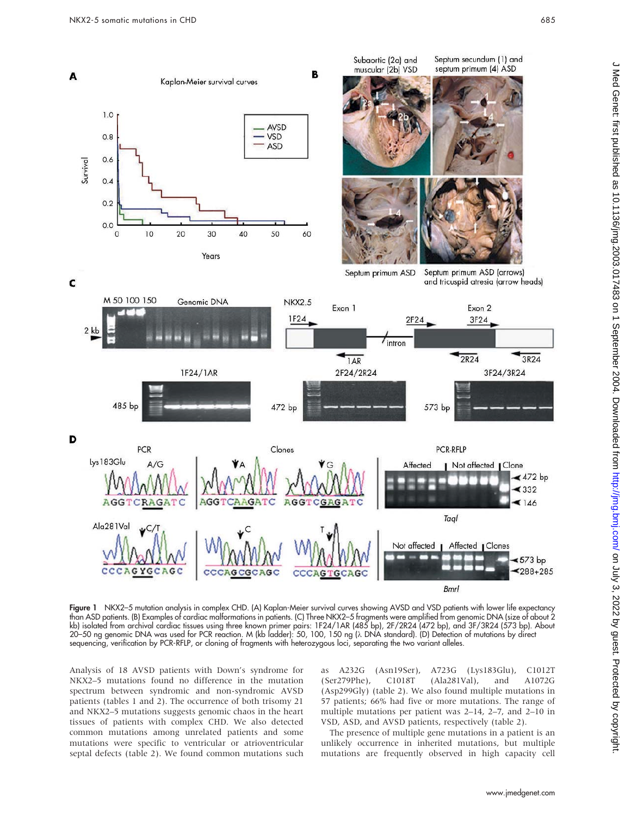

Figure 1 NKX2–5 mutation analysis in complex CHD. (A) Kaplan-Meier survival curves showing AVSD and VSD patients with lower life expectancy than ASD patients. (B) Examples of cardiac malformations in patients. (C) Three NKX2–5 fragments were amplified from genomic DNA (size of about 2 kb) isolated from archival cardiac tissues using three known primer pairs: 1F24/1AR (485 bp), 2F/2R24 (472 bp), and 3F/3R24 (573 bp). About 20–50 ng genomic DNA was used for PCR reaction. M (kb ladder): 50, 100, 150 ng (λ DNA standard). (D) Detection of mutations by direct sequencing, verification by PCR-RFLP, or cloning of fragments with heterozygous loci, separating the two variant alleles.

Analysis of 18 AVSD patients with Down's syndrome for NKX2–5 mutations found no difference in the mutation spectrum between syndromic and non-syndromic AVSD patients (tables 1 and 2). The occurrence of both trisomy 21 and NKX2–5 mutations suggests genomic chaos in the heart tissues of patients with complex CHD. We also detected common mutations among unrelated patients and some mutations were specific to ventricular or atrioventricular septal defects (table 2). We found common mutations such

as A232G (Asn19Ser), A723G (Lys183Glu), C1012T (Ser279Phe), C1018T (Ala281Val), and A1072G (Asp299Gly) (table 2). We also found multiple mutations in 57 patients; 66% had five or more mutations. The range of multiple mutations per patient was 2–14, 2–7, and 2–10 in VSD, ASD, and AVSD patients, respectively (table 2).

The presence of multiple gene mutations in a patient is an unlikely occurrence in inherited mutations, but multiple mutations are frequently observed in high capacity cell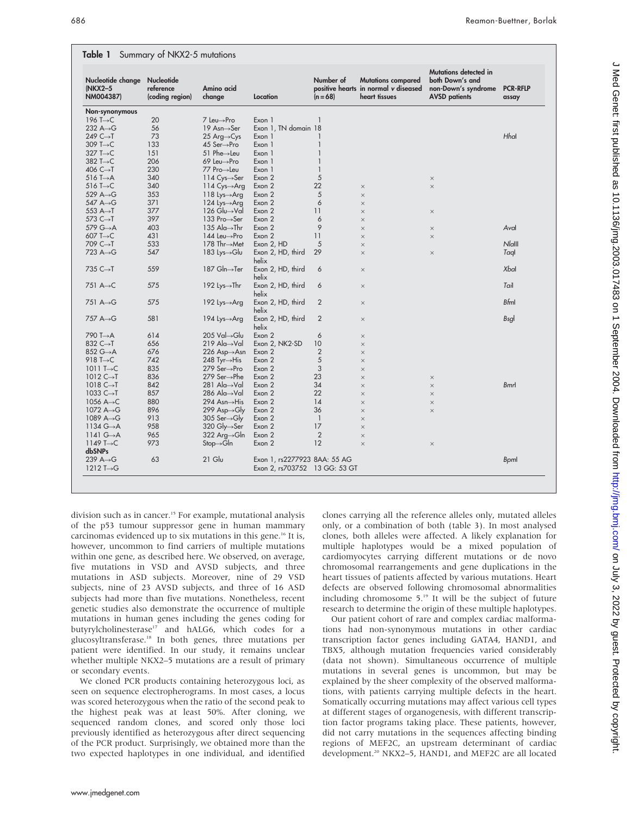Table 1 Summary of NKX2-5 mutations

| Nucleotide change<br>(NKX2-5<br>NM004387) | Nucleotide<br>reference<br>(coding region) | Amino acid<br>change        | Location                      | Number of<br>$(n = 68)$ | <b>Mutations compared</b><br>positive hearts in normal v diseased<br>heart tissues | Mutations detected in<br>both Down's and<br>non-Down's syndrome<br><b>AVSD</b> patients | <b>PCR-RFLP</b><br>assay |
|-------------------------------------------|--------------------------------------------|-----------------------------|-------------------------------|-------------------------|------------------------------------------------------------------------------------|-----------------------------------------------------------------------------------------|--------------------------|
| Non-synonymous                            |                                            |                             |                               |                         |                                                                                    |                                                                                         |                          |
| 196 T $\rightarrow$ C                     | 20                                         | 7 Leu→Pro                   | Exon 1                        | $\mathbf{1}$            |                                                                                    |                                                                                         |                          |
| 232 $A \rightarrow G$                     | 56                                         | 19 Asn→Ser                  | Exon 1, TN domain 18          |                         |                                                                                    |                                                                                         |                          |
| 249 C $\rightarrow$ T                     | 73                                         | 25 Arg $\rightarrow$ Cys    | Exon 1                        | 1                       |                                                                                    |                                                                                         | Hhal                     |
| 309 T $\rightarrow$ C                     | 133                                        | 45 Ser→Pro                  | Exon 1                        | $\mathbf{1}$            |                                                                                    |                                                                                         |                          |
| 327 T $\rightarrow$ C                     | 151                                        | 51 Phe $\rightarrow$ Leu    | Exon 1                        | $\mathbf{1}$            |                                                                                    |                                                                                         |                          |
| 382 T $\rightarrow$ C                     | 206                                        | 69 Leu→Pro                  | Exon 1                        | $\mathbf{1}$            |                                                                                    |                                                                                         |                          |
| 406 $C \rightarrow T$                     | 230                                        | 77 Pro→Leu                  | Exon 1                        | 1                       |                                                                                    |                                                                                         |                          |
| 516 T $\rightarrow$ A                     | 340                                        | 114 $Cys \rightarrow Ser$   | Exon 2                        | 5                       |                                                                                    | $\times$                                                                                |                          |
| 516 T $\rightarrow$ C                     | 340                                        | 114 $Cys \rightarrow Arg$   | Exon 2                        | 22                      | $\times$                                                                           | $\times$                                                                                |                          |
| 529 $A \rightarrow G$                     | 353                                        | 118 Lys $\rightarrow$ Arg   | Exon 2                        | 5                       | $\times$                                                                           |                                                                                         |                          |
| 547 A→G                                   | 371                                        | 124 Lys $\rightarrow$ Arg   | Exon 2                        | 6                       | $\times$                                                                           |                                                                                         |                          |
| 553 $A \rightarrow T$                     | 377                                        | 126 Glu→Val                 | Exon 2                        | 11                      | $\times$                                                                           | $\times$                                                                                |                          |
| 573 $C \rightarrow T$                     | 397                                        | 133 Pro→Ser                 | Exon 2                        | 6                       | $\times$                                                                           |                                                                                         |                          |
| 579 G→A                                   | 403                                        | 135 Ala $\rightarrow$ Thr   | Exon 2                        | 9                       | $\times$                                                                           | $\times$                                                                                | Aval                     |
| 607 T $\rightarrow$ C                     | 431                                        | 144 Leu→Pro                 | Exon 2                        | 11                      | $\times$                                                                           | $\times$                                                                                |                          |
| 709 $C \rightarrow T$                     | 533                                        | 178 Thr→Met                 | Exon 2, HD                    | 5                       | $\times$                                                                           |                                                                                         | $N$ <i>lalll</i>         |
| 723 A $\rightarrow$ G                     | 547                                        | 183 Lys $\rightarrow$ Glu   | Exon 2, HD, third             | 29                      | $\times$                                                                           | $\times$                                                                                | Taql                     |
|                                           |                                            |                             | helix                         |                         |                                                                                    |                                                                                         |                          |
| 735 $C \rightarrow T$                     | 559                                        | 187 Gln→Ter                 | Exon 2, HD, third             | 6                       | $\times$                                                                           |                                                                                         | Xbal                     |
|                                           |                                            |                             | helix                         |                         |                                                                                    |                                                                                         |                          |
| 751 $A \rightarrow C$                     | 575                                        | 192 Lys $\rightarrow$ Thr   | Exon 2, HD, third<br>helix    | 6                       | $\times$                                                                           |                                                                                         | Tail                     |
| 751 A→G                                   | 575                                        | 192 Lys $\rightarrow$ Arg   | Exon 2, HD, third<br>helix    | 2                       | $\times$                                                                           |                                                                                         | <b>Bfml</b>              |
| 757 A→G                                   | 581                                        | 194 Lys $\rightarrow$ Arg   | Exon 2, HD, third<br>helix    | 2                       | $\times$                                                                           |                                                                                         | <b>Bsgl</b>              |
| 790 T→A                                   | 614                                        | 205 Val→Glu                 | Exon 2                        | 6                       | $\times$                                                                           |                                                                                         |                          |
| 832 C→T                                   | 656                                        | 219 Ala $\rightarrow$ Val   | Exon 2, NK2-SD                | 10                      | $\times$                                                                           |                                                                                         |                          |
| 852 G→A                                   | 676                                        |                             | Exon 2                        | $\overline{2}$          |                                                                                    |                                                                                         |                          |
| 918 T $\rightarrow$ C                     | 742                                        | 226 Asp→Asn                 | Exon 2                        | 5                       | $\times$                                                                           |                                                                                         |                          |
|                                           | 835                                        | 248 Tyr $\rightarrow$ His   | Exon 2                        | 3                       | $\times$                                                                           |                                                                                         |                          |
| 1011 T $\rightarrow$ C                    | 836                                        | 279 Ser→Pro<br>279 Ser→Phe  |                               |                         | $\times$                                                                           |                                                                                         |                          |
| 1012 $C \rightarrow T$                    |                                            |                             | Exon 2                        | 23                      | $\times$                                                                           | $\times$                                                                                |                          |
| 1018 $C \rightarrow T$                    | 842                                        | 281 Ala $\rightarrow$ Val   | Exon 2                        | 34                      | $\times$                                                                           | $\times$                                                                                | <b>Bmrl</b>              |
| 1033 $C \rightarrow T$                    | 857                                        | 286 Ala $\rightarrow$ Val   | Exon 2                        | 22                      | $\times$                                                                           | $\times$                                                                                |                          |
| 1056 $A \rightarrow C$                    | 880                                        | 294 Asn→His                 | Exon 2                        | 14                      | $\times$                                                                           | $\times$                                                                                |                          |
| 1072 $A \rightarrow G$                    | 896                                        | $299$ Asp $\rightarrow$ Gly | Exon 2                        | 36                      | $\times$                                                                           | $\times$                                                                                |                          |
| 1089 $A \rightarrow G$                    | 913                                        | 305 Ser $\rightarrow$ Gly   | Exon 2                        | $\mathbf{1}$            | $\times$                                                                           |                                                                                         |                          |
| 1134 $G \rightarrow A$                    | 958                                        | 320 Gly→Ser                 | Exon 2                        | 17                      | $\times$                                                                           |                                                                                         |                          |
| 1141 $G \rightarrow A$                    | 965                                        | 322 Arg→Gln                 | Exon 2                        | $\overline{2}$          | $\times$                                                                           |                                                                                         |                          |
| 1149 T $\rightarrow$ C<br>dbSNPs          | 973                                        | $Stop \rightarrow GIn$      | Exon 2                        | 12                      | $\times$                                                                           | $\times$                                                                                |                          |
| 239 $A \rightarrow G$                     | 63                                         | $21$ Glu                    | Exon 1, rs2277923 8AA: 55 AG  |                         |                                                                                    |                                                                                         | <b>B</b> pml             |
| 1212 T $\rightarrow$ G                    |                                            |                             | Exon 2, rs703752 13 GG: 53 GT |                         |                                                                                    |                                                                                         |                          |

division such as in cancer.<sup>15</sup> For example, mutational analysis of the p53 tumour suppressor gene in human mammary carcinomas evidenced up to six mutations in this gene.<sup>16</sup> It is, however, uncommon to find carriers of multiple mutations within one gene, as described here. We observed, on average, five mutations in VSD and AVSD subjects, and three mutations in ASD subjects. Moreover, nine of 29 VSD subjects, nine of 23 AVSD subjects, and three of 16 ASD subjects had more than five mutations. Nonetheless, recent genetic studies also demonstrate the occurrence of multiple mutations in human genes including the genes coding for butyrylcholinesterase<sup>17</sup> and hALG6, which codes for a glucosyltransferase.18 In both genes, three mutations per patient were identified. In our study, it remains unclear whether multiple NKX2–5 mutations are a result of primary or secondary events.

We cloned PCR products containing heterozygous loci, as seen on sequence electropherograms. In most cases, a locus was scored heterozygous when the ratio of the second peak to the highest peak was at least 50%. After cloning, we sequenced random clones, and scored only those loci previously identified as heterozygous after direct sequencing of the PCR product. Surprisingly, we obtained more than the two expected haplotypes in one individual, and identified

clones carrying all the reference alleles only, mutated alleles only, or a combination of both (table 3). In most analysed clones, both alleles were affected. A likely explanation for multiple haplotypes would be a mixed population of cardiomyocytes carrying different mutations or de novo chromosomal rearrangements and gene duplications in the heart tissues of patients affected by various mutations. Heart defects are observed following chromosomal abnormalities including chromosome 5.19 It will be the subject of future research to determine the origin of these multiple haplotypes.

Our patient cohort of rare and complex cardiac malformations had non-synonymous mutations in other cardiac transcription factor genes including GATA4, HAND1, and TBX5, although mutation frequencies varied considerably (data not shown). Simultaneous occurrence of multiple mutations in several genes is uncommon, but may be explained by the sheer complexity of the observed malformations, with patients carrying multiple defects in the heart. Somatically occurring mutations may affect various cell types at different stages of organogenesis, with different transcription factor programs taking place. These patients, however, did not carry mutations in the sequences affecting binding regions of MEF2C, an upstream determinant of cardiac development.20 NKX2–5, HAND1, and MEF2C are all located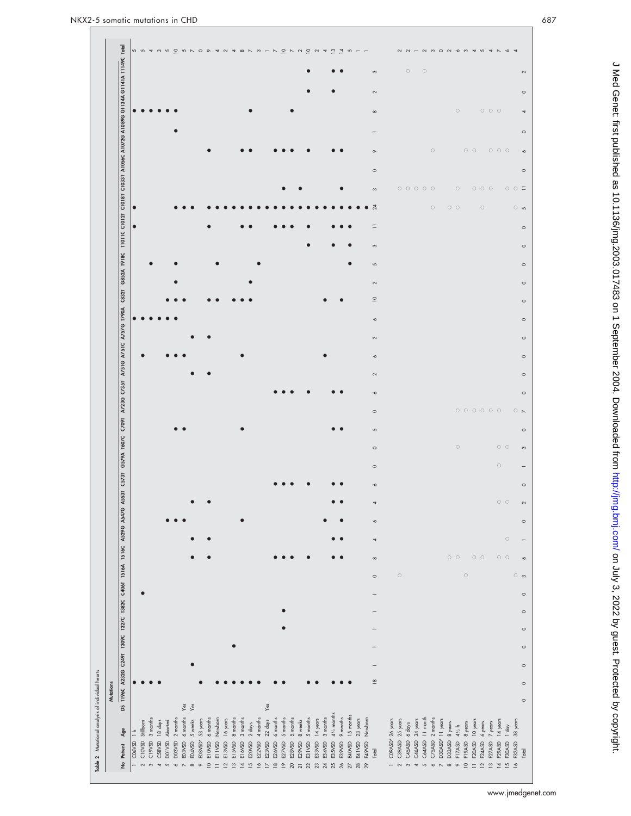|                                                                                                                                                                                                        | D N N O & 4 N 4 8 N N - N D N N D N 4 M H<br><b>55455</b><br>5                                                                                                                                                                                                                                                                             | $\overline{\phantom{0}}$<br>$\begin{array}{c} 2 \ 2 \ 1 \end{array}$<br>N M O N V M T W T N V T                                                                                                                                          |                          |
|--------------------------------------------------------------------------------------------------------------------------------------------------------------------------------------------------------|--------------------------------------------------------------------------------------------------------------------------------------------------------------------------------------------------------------------------------------------------------------------------------------------------------------------------------------------|------------------------------------------------------------------------------------------------------------------------------------------------------------------------------------------------------------------------------------------|--------------------------|
|                                                                                                                                                                                                        |                                                                                                                                                                                                                                                                                                                                            | $\circ$<br>$\circ$<br>$\infty$                                                                                                                                                                                                           |                          |
|                                                                                                                                                                                                        |                                                                                                                                                                                                                                                                                                                                            | $\sim$                                                                                                                                                                                                                                   |                          |
|                                                                                                                                                                                                        |                                                                                                                                                                                                                                                                                                                                            | $\circ$<br>$\circ \circ \circ$<br>$\infty$                                                                                                                                                                                               |                          |
|                                                                                                                                                                                                        |                                                                                                                                                                                                                                                                                                                                            |                                                                                                                                                                                                                                          |                          |
|                                                                                                                                                                                                        |                                                                                                                                                                                                                                                                                                                                            | $\circ$<br>$\circ$ $\circ$<br>$\circ \circ \circ$<br>$\circ$                                                                                                                                                                             |                          |
|                                                                                                                                                                                                        |                                                                                                                                                                                                                                                                                                                                            | $\circ$                                                                                                                                                                                                                                  |                          |
|                                                                                                                                                                                                        |                                                                                                                                                                                                                                                                                                                                            | 0 0 0 0 0<br>$\circ$<br>$\circ \circ \circ$<br>$\infty$                                                                                                                                                                                  | $\circ$ $\circ$ $\equiv$ |
|                                                                                                                                                                                                        | $\bullet$                                                                                                                                                                                                                                                                                                                                  | $\overline{24}$<br>$\circ$<br>$\circ$ $\circ$<br>$\circ$                                                                                                                                                                                 | ⊙ ശ                      |
|                                                                                                                                                                                                        | $\bullet$                                                                                                                                                                                                                                                                                                                                  | $\equiv$                                                                                                                                                                                                                                 |                          |
|                                                                                                                                                                                                        |                                                                                                                                                                                                                                                                                                                                            | $\mathfrak{S}$                                                                                                                                                                                                                           |                          |
|                                                                                                                                                                                                        |                                                                                                                                                                                                                                                                                                                                            | 5                                                                                                                                                                                                                                        |                          |
|                                                                                                                                                                                                        |                                                                                                                                                                                                                                                                                                                                            | $\sim$                                                                                                                                                                                                                                   |                          |
|                                                                                                                                                                                                        |                                                                                                                                                                                                                                                                                                                                            | $\supseteq$                                                                                                                                                                                                                              |                          |
|                                                                                                                                                                                                        |                                                                                                                                                                                                                                                                                                                                            | $\circ$                                                                                                                                                                                                                                  |                          |
|                                                                                                                                                                                                        |                                                                                                                                                                                                                                                                                                                                            | $\sim$                                                                                                                                                                                                                                   |                          |
|                                                                                                                                                                                                        |                                                                                                                                                                                                                                                                                                                                            |                                                                                                                                                                                                                                          |                          |
|                                                                                                                                                                                                        |                                                                                                                                                                                                                                                                                                                                            | $\breve{\phantom{0}}$                                                                                                                                                                                                                    |                          |
|                                                                                                                                                                                                        |                                                                                                                                                                                                                                                                                                                                            | $\sim$                                                                                                                                                                                                                                   |                          |
|                                                                                                                                                                                                        |                                                                                                                                                                                                                                                                                                                                            | $\breve{\phantom{0}}$                                                                                                                                                                                                                    |                          |
|                                                                                                                                                                                                        |                                                                                                                                                                                                                                                                                                                                            | $0 0 0 0 0 0 0$<br>$\circ$                                                                                                                                                                                                               | $\circ$ $\sim$           |
|                                                                                                                                                                                                        |                                                                                                                                                                                                                                                                                                                                            | 5                                                                                                                                                                                                                                        |                          |
|                                                                                                                                                                                                        |                                                                                                                                                                                                                                                                                                                                            | $\circ$<br>$\circ$ $\circ$<br>$\circ$                                                                                                                                                                                                    |                          |
|                                                                                                                                                                                                        |                                                                                                                                                                                                                                                                                                                                            | $\circ$<br>$\circ$                                                                                                                                                                                                                       |                          |
|                                                                                                                                                                                                        |                                                                                                                                                                                                                                                                                                                                            | $\breve{\phantom{0}}$                                                                                                                                                                                                                    |                          |
|                                                                                                                                                                                                        |                                                                                                                                                                                                                                                                                                                                            | $\circ\hspace{0.15cm}\circ$<br>4                                                                                                                                                                                                         |                          |
|                                                                                                                                                                                                        |                                                                                                                                                                                                                                                                                                                                            | $\breve{\phantom{0}}$                                                                                                                                                                                                                    |                          |
|                                                                                                                                                                                                        |                                                                                                                                                                                                                                                                                                                                            | $\circ$<br>4                                                                                                                                                                                                                             |                          |
|                                                                                                                                                                                                        |                                                                                                                                                                                                                                                                                                                                            | $\circ$ $\circ$<br>$\circ$ $\circ$<br>$\circ$ $\circ$<br>$\infty$                                                                                                                                                                        |                          |
|                                                                                                                                                                                                        |                                                                                                                                                                                                                                                                                                                                            | $\circ$<br>$\circ$<br>$\circ$                                                                                                                                                                                                            | $\circ$ $\circ$          |
|                                                                                                                                                                                                        |                                                                                                                                                                                                                                                                                                                                            |                                                                                                                                                                                                                                          |                          |
|                                                                                                                                                                                                        |                                                                                                                                                                                                                                                                                                                                            |                                                                                                                                                                                                                                          |                          |
|                                                                                                                                                                                                        |                                                                                                                                                                                                                                                                                                                                            |                                                                                                                                                                                                                                          |                          |
|                                                                                                                                                                                                        |                                                                                                                                                                                                                                                                                                                                            | $\overline{ }$                                                                                                                                                                                                                           |                          |
|                                                                                                                                                                                                        |                                                                                                                                                                                                                                                                                                                                            |                                                                                                                                                                                                                                          |                          |
| DS TI96C A223C C249T T302C C400T TSI6A TSI6C A529C A530T A530T C573T G579A T607C C709T A731C A731C A731C A737C T90A C832T G832A T910C TIOIT CIOI2T CIOI3T AIOS6C AIO782 AIO89C GI34A GI14IA TI49C Teel | $\bullet$                                                                                                                                                                                                                                                                                                                                  | $\overline{18}$                                                                                                                                                                                                                          |                          |
|                                                                                                                                                                                                        | $\mathsf{Yes}$<br>Yes<br>$Y$ es                                                                                                                                                                                                                                                                                                            |                                                                                                                                                                                                                                          |                          |
|                                                                                                                                                                                                        | $4\frac{1}{2}$ months<br>15 months<br>Newborn<br>9 months<br>$6$ months<br>4 months<br>3 months<br>$2$ months<br>6 months<br>16 years<br>8 months<br>3 months<br>$6$ months<br>5 months<br>5 months<br>14 years<br>3 months<br>53 years<br>5 months<br>5 weeks<br>$22$ days<br>8 weeks<br>C10VSD Stillborn<br>18 days<br>Aborted<br>2 days | Newborn<br>23 years<br>11 month<br>$2$ months<br>D30ASD* 11 years<br>14 years<br>CO9ASD* 26 years<br>C39ASD 25 years<br>34 years<br>10 years<br>D33ASD 8 years<br>6 days<br>8 years<br>6 years<br>7 years<br>$1$ day<br>$4\frac{1}{2}$ h | 38 years                 |
| Age                                                                                                                                                                                                    | CO6VSD <sub>1</sub> h<br>EO8VSD*<br>CI 9VSD<br>C58VSD<br><b>DOIVSD</b><br><b>DO3VSD</b><br>EO3VSD<br>EO4VSD<br>E10VSD<br>ETIVSD<br>E13VSD<br>E22VSD<br>E27VSD<br>E29VSD<br>E34VSD<br>E15VSD<br>E16VSD<br>E23VSD<br>E28VSD<br>E31VSD<br>E33VSD<br>E35VSD<br>E20VSD<br>E26VSD<br>E40VSD                                                      | C45ASD<br>C46ASD<br>C64ASD<br>C75ASD<br>E49VSD<br>F17ASD<br>F20ASD<br>F27ASD<br>F30ASD<br>E41VSD<br>F19ASD<br>F24ASD<br>F29ASD                                                                                                           | F32ASD                   |

www.jmedgenet.com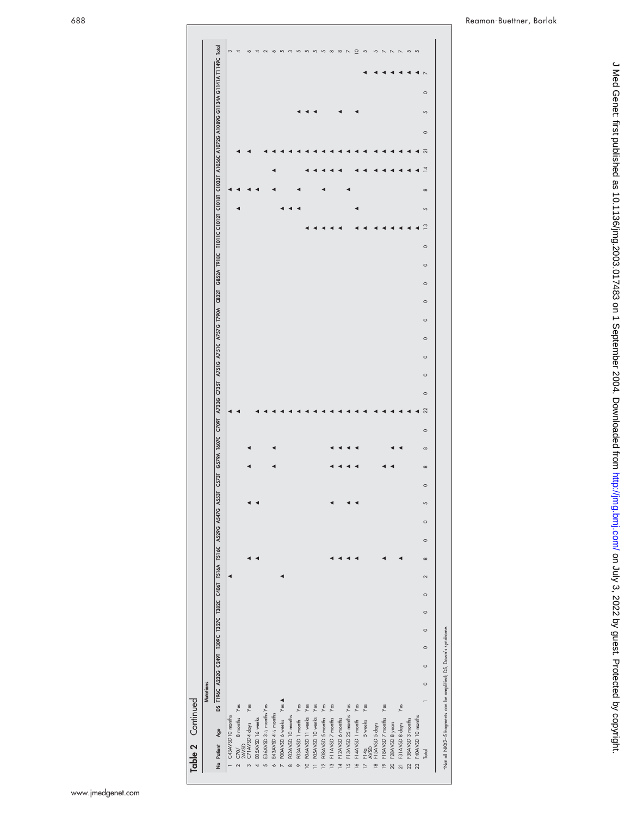| Table 2 Continued                                                |        |                  |         |         |                    |         |        |          |         |         |   |         |          |          |         |                                                                                                                                                                                     |         |         |         |         |         |                    |         |                 |   |          |                |                |         |   |         |                            |
|------------------------------------------------------------------|--------|------------------|---------|---------|--------------------|---------|--------|----------|---------|---------|---|---------|----------|----------|---------|-------------------------------------------------------------------------------------------------------------------------------------------------------------------------------------|---------|---------|---------|---------|---------|--------------------|---------|-----------------|---|----------|----------------|----------------|---------|---|---------|----------------------------|
|                                                                  |        | <b>Mutations</b> |         |         |                    |         |        |          |         |         |   |         |          |          |         |                                                                                                                                                                                     |         |         |         |         |         |                    |         |                 |   |          |                |                |         |   |         |                            |
| No Patient Age                                                   |        |                  |         |         |                    |         |        |          |         |         |   |         |          |          |         | DS T196C A232G C249T T30C T302C C406T T516A T516A N52G A53G A53G A53T G23G A73G A73G A73G A73G A79G C832 G852A T918C T1011C C1012T C10131 A1056C A1079G A1089G G1144A G1140R C10abl |         |         |         |         |         |                    |         |                 |   |          |                |                |         |   |         |                            |
| 1 C43AVSD 10 months                                              |        |                  |         |         |                    |         |        |          |         |         |   |         |          |          |         |                                                                                                                                                                                     |         |         |         |         |         |                    |         |                 |   |          |                |                |         |   |         | S                          |
| 8 months Yes                                                     |        |                  |         |         |                    |         |        |          |         |         |   |         |          |          |         |                                                                                                                                                                                     |         |         |         |         |         |                    |         |                 |   |          |                |                |         |   |         | 4                          |
| 2 $C70/$ 8 months<br>3 $2AVSD$<br>3 $C71AVSDA days$              | Yes    |                  |         |         |                    |         |        |          |         |         |   |         |          |          |         |                                                                                                                                                                                     |         |         |         |         |         |                    |         |                 |   |          |                |                |         |   |         | ó                          |
| 4 EO 5AVSD 16 weeks                                              |        |                  |         |         |                    |         |        |          |         |         |   |         |          |          |         |                                                                                                                                                                                     |         |         |         |         |         |                    |         |                 |   |          |                |                |         |   |         | 4                          |
| 5 E36AVSD 31/2 months Yes                                        |        |                  |         |         |                    |         |        |          |         |         |   |         |          |          |         |                                                                                                                                                                                     |         |         |         |         |         |                    |         |                 |   |          |                |                |         |   |         | $\sim$                     |
| E43AVSD 41/2 months<br>$\circ$                                   |        |                  |         |         |                    |         |        |          |         |         |   |         |          |          |         |                                                                                                                                                                                     |         |         |         |         |         |                    |         |                 |   |          |                |                |         |   |         | $\check{\circ}$            |
| 7 FOOAVSD 6 weeks                                                | Yes A  |                  |         |         |                    |         |        |          |         |         |   |         |          |          |         |                                                                                                                                                                                     |         |         |         |         |         |                    |         |                 |   |          |                |                |         |   |         | 5                          |
| FO2AVSD 10 months<br>$\infty$                                    |        |                  |         |         |                    |         |        |          |         |         |   |         |          |          |         |                                                                                                                                                                                     |         |         |         |         |         |                    |         |                 |   |          |                |                |         |   |         | S                          |
| FO3AVSD 1 month<br>$\circ$                                       | $Y$ es |                  |         |         |                    |         |        |          |         |         |   |         |          |          |         |                                                                                                                                                                                     |         |         |         |         |         |                    |         |                 |   |          |                |                |         |   |         | 5                          |
| 10 FO4AVSD 11 weeks                                              | Yes    |                  |         |         |                    |         |        |          |         |         |   |         |          |          |         |                                                                                                                                                                                     |         |         |         |         |         |                    |         |                 |   |          |                |                |         |   |         | $\sqrt{2}$                 |
| 11 FOSAVSD 10 weeks                                              | $Y$ es |                  |         |         |                    |         |        |          |         |         |   |         |          |          |         |                                                                                                                                                                                     |         |         |         |         |         |                    |         |                 |   |          |                |                |         |   |         | 5                          |
| FO8AVSD 5 months<br>$\frac{12}{2}$                               | Yes    |                  |         |         |                    |         |        |          |         |         |   |         |          |          |         |                                                                                                                                                                                     |         |         |         |         |         |                    |         |                 |   |          |                |                |         |   |         | 5                          |
| 13 F11AVSD 7 months                                              | $Y$ es |                  |         |         |                    |         |        |          |         |         |   |         |          |          |         |                                                                                                                                                                                     |         |         |         |         |         |                    |         |                 |   |          |                |                |         |   |         | $\infty$                   |
| 14 F12AVSD 6 months                                              |        |                  |         |         |                    |         |        |          |         |         |   |         |          |          |         |                                                                                                                                                                                     |         |         |         |         |         |                    |         |                 |   |          |                |                |         |   |         | $\infty$                   |
| 15 F13AVSD 25 months Yes                                         |        |                  |         |         |                    |         |        |          |         |         |   |         |          |          |         |                                                                                                                                                                                     |         |         |         |         |         |                    |         |                 |   |          |                |                |         |   |         | $\overline{\phantom{a}}$   |
| 16 F14AVSD 1 month Yes                                           |        |                  |         |         |                    |         |        |          |         |         |   |         |          |          |         |                                                                                                                                                                                     |         |         |         |         |         |                    |         |                 |   |          |                |                |         |   |         | $\overline{a}$             |
|                                                                  | Yes    |                  |         |         |                    |         |        |          |         |         |   |         |          |          |         |                                                                                                                                                                                     |         |         |         |         |         |                    |         |                 |   |          |                |                |         |   |         | 5                          |
| 17 F14a 5 weeks<br>AVSD<br>18 F15AVSD 5 days                     |        |                  |         |         |                    |         |        |          |         |         |   |         |          |          |         |                                                                                                                                                                                     |         |         |         |         |         |                    |         |                 |   |          |                |                |         |   |         | 5                          |
| 19 F18AVSD 7 months                                              | Yes    |                  |         |         |                    |         |        |          |         |         |   |         |          |          |         |                                                                                                                                                                                     |         |         |         |         |         |                    |         |                 |   |          |                |                |         |   |         | $\sim$                     |
| 20 F28AVSD 8 years                                               |        |                  |         |         |                    |         |        |          |         |         |   |         |          |          |         |                                                                                                                                                                                     |         |         |         |         |         |                    |         |                 |   |          |                |                |         |   |         | $\boldsymbol{\mathcal{N}}$ |
| F31AVSD 8 days<br>$\overline{21}$                                | $Y$ es |                  |         |         |                    |         |        |          |         |         |   |         |          |          |         |                                                                                                                                                                                     |         |         |         |         |         |                    |         |                 |   |          |                |                |         |   |         | $\mathord{\sim}$           |
| 22 F38AVSD 3 months                                              |        |                  |         |         |                    |         |        |          |         |         |   |         |          |          |         |                                                                                                                                                                                     |         |         |         |         |         |                    |         |                 |   |          |                |                |         |   |         | $\sqrt{2}$                 |
| 23 F40AVSD 10 months                                             |        |                  |         |         |                    |         |        |          |         |         |   |         |          |          |         |                                                                                                                                                                                     |         |         |         |         |         |                    |         |                 |   |          |                |                |         |   |         | $\overline{5}$             |
| Total                                                            |        | $\circ$          | $\circ$ | $\circ$ | $\circ$<br>$\circ$ | $\circ$ | $\sim$ | $\infty$ | $\circ$ | $\circ$ | 5 | $\circ$ | $\infty$ | $\infty$ | $\circ$ | $\circ$<br>22                                                                                                                                                                       | $\circ$ | $\circ$ | $\circ$ | $\circ$ | $\circ$ | $\circ$<br>$\circ$ | $\circ$ | $\overline{13}$ | 5 | $\infty$ | $\overline{4}$ | $\overline{z}$ | $\circ$ | 5 | $\circ$ |                            |
| *Not all NKX2-5 fragments can be amplified; DS, Down's syndrome. |        |                  |         |         |                    |         |        |          |         |         |   |         |          |          |         |                                                                                                                                                                                     |         |         |         |         |         |                    |         |                 |   |          |                |                |         |   |         |                            |

www.jmedgenet.com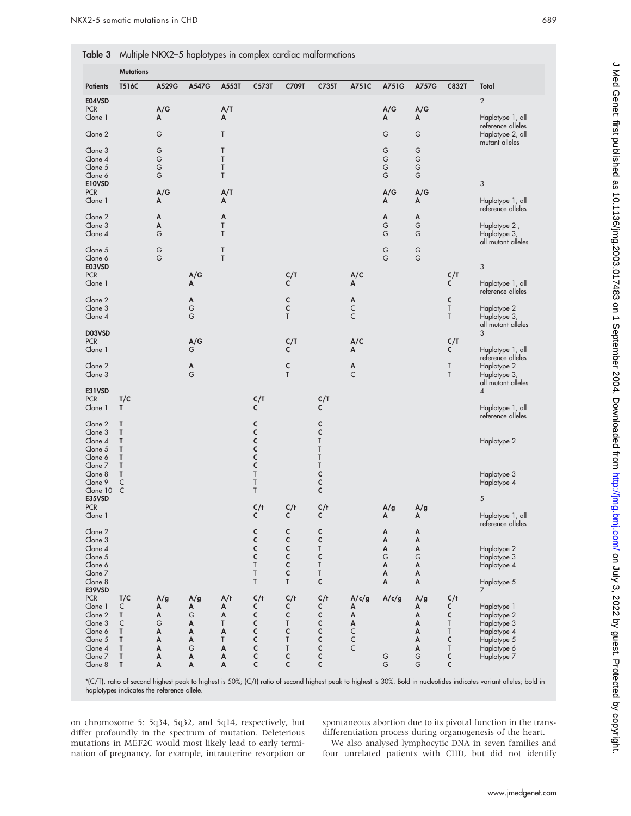|                       | <b>Mutations</b> |             |        |          |               |             |                                |                   |             |          |              |                                       |
|-----------------------|------------------|-------------|--------|----------|---------------|-------------|--------------------------------|-------------------|-------------|----------|--------------|---------------------------------------|
| <b>Patients</b>       | T516C            | A529G       | A547G  | A553T    | C573T         | C709T       | C735T                          | A751C             | A751G       | A757G    | <b>C832T</b> | Total                                 |
| E04VSD                |                  |             |        |          |               |             |                                |                   |             |          |              | $\overline{2}$                        |
| <b>PCR</b><br>Clone 1 |                  | A/G         |        | A/T      |               |             |                                |                   | A/G<br>A    | A/G      |              | Haplotype 1, all                      |
|                       |                  | A           |        | Α        |               |             |                                |                   |             | Α        |              | reference alleles                     |
| Clone 2               |                  | G           |        | Τ        |               |             |                                |                   | G           | G        |              | Haplotype 2, all                      |
| Clone 3               |                  | G           |        | T        |               |             |                                |                   | G           | G        |              | mutant alleles                        |
| Clone 4               |                  | G           |        | T        |               |             |                                |                   | $\mathsf G$ | G        |              |                                       |
| Clone 5               |                  | $\mathsf G$ |        | $\sf T$  |               |             |                                |                   | $\mathsf G$ | G        |              |                                       |
| Clone 6               |                  | G           |        | T        |               |             |                                |                   | G           | G        |              |                                       |
| E10VSD                |                  |             |        |          |               |             |                                |                   |             |          |              | 3                                     |
| <b>PCR</b><br>Clone 1 |                  | A/G<br>Α    |        | A/T<br>Α |               |             |                                |                   | A/G<br>A    | A/G<br>А |              | Haplotype 1, all                      |
|                       |                  |             |        |          |               |             |                                |                   |             |          |              | reference alleles                     |
| Clone 2               |                  | Α           |        | Α        |               |             |                                |                   | A           | Α        |              |                                       |
| Clone 3               |                  | Α           |        | Τ        |               |             |                                |                   | G           | G        |              | Haplotype 2,                          |
| Clone 4               |                  | G           |        | T        |               |             |                                |                   | G           | G        |              | Haplotype 3,                          |
| Clone 5               |                  | G           |        | T        |               |             |                                |                   | G           | G        |              | all mutant alleles                    |
| Clone 6               |                  | G           |        | T        |               |             |                                |                   | G           | G        |              |                                       |
| E03VSD                |                  |             |        |          |               |             |                                |                   |             |          |              | $\sqrt{3}$                            |
| <b>PCR</b>            |                  |             | A/G    |          |               | C/T         |                                | A/C               |             |          | C/T          |                                       |
| Clone 1               |                  |             | А      |          |               | C           |                                | Α                 |             |          | c            | Haplotype 1, all                      |
|                       |                  |             |        |          |               |             |                                |                   |             |          |              | reference alleles                     |
| Clone 2               |                  |             | А<br>G |          |               | с           |                                | Α                 |             |          | C<br>T       |                                       |
| Clone 3<br>Clone 4    |                  |             | G      |          |               | C<br>T      |                                | C<br>$\mathsf{C}$ |             |          | T            | Haplotype 2<br>Haplotype 3,           |
|                       |                  |             |        |          |               |             |                                |                   |             |          |              | all mutant alleles                    |
| D03VSD                |                  |             |        |          |               |             |                                |                   |             |          |              | 3                                     |
| <b>PCR</b>            |                  |             | A/G    |          |               | C/T         |                                | A/C               |             |          | C/T          |                                       |
| Clone 1               |                  |             | G      |          |               | C           |                                | Α                 |             |          | c            | Haplotype 1, all                      |
| Clone 2               |                  |             | Α      |          |               | $\mathsf c$ |                                | A                 |             |          | Τ            | reference alleles<br>Haplotype 2      |
| Clone 3               |                  |             | G      |          |               | T           |                                | $\mathsf{C}$      |             |          | T            | Haplotype 3,                          |
|                       |                  |             |        |          |               |             |                                |                   |             |          |              | all mutant alleles                    |
| E31VSD                |                  |             |        |          |               |             |                                |                   |             |          |              | $\overline{4}$                        |
| <b>PCR</b>            | T/C              |             |        |          | C/T           |             | C/T                            |                   |             |          |              |                                       |
| Clone 1               | Τ                |             |        |          | c             |             | c                              |                   |             |          |              | Haplotype 1, all                      |
| Clone 2               | T                |             |        |          |               |             | с                              |                   |             |          |              | reference alleles                     |
| Clone 3               | Т                |             |        |          |               |             | C                              |                   |             |          |              |                                       |
| Clone 4               | Т                |             |        |          |               |             | $\sf T$                        |                   |             |          |              | Haplotype 2                           |
| Clone 5               | Т                |             |        |          | <b>CCCCC</b>  |             | $\sf T$                        |                   |             |          |              |                                       |
| Clone 6               | Т                |             |        |          |               |             | $\sf T$                        |                   |             |          |              |                                       |
| Clone 7               | Т                |             |        |          |               |             | $\sf T$                        |                   |             |          |              |                                       |
| Clone 8<br>Clone 9    | т<br>C           |             |        |          | $\sf T$<br>Τ  |             | $\mathsf{C}$<br>$\overline{c}$ |                   |             |          |              | Haplotype 3<br>Haplotype 4            |
| Clone $10\,$ C        |                  |             |        |          | $\sf T$       |             | $\mathsf{C}$                   |                   |             |          |              |                                       |
| E35VSD                |                  |             |        |          |               |             |                                |                   |             |          |              | $\sqrt{5}$                            |
| <b>PCR</b>            |                  |             |        |          | C/t           | C/t         | C/t                            |                   | A/g         | A/g      |              |                                       |
| Clone 1               |                  |             |        |          | c             | c           | c                              |                   | A           | A        |              | Haplotype 1, all<br>reference alleles |
| Clone 2               |                  |             |        |          |               | C           | $\mathsf c$                    |                   | Α           | A        |              |                                       |
| Clone 3               |                  |             |        |          | $\frac{c}{c}$ | C           | $\mathsf c$                    |                   | A           | A        |              |                                       |
| Clone 4               |                  |             |        |          | $\mathsf{C}$  | C           | $\sf T$                        |                   | A           | Α        |              | Haplotype 2                           |
| Clone 5               |                  |             |        |          | C             | C           | C                              |                   | G           | G        |              | Haplotype 3                           |
| Clone 6               |                  |             |        |          | $\sf T$       | C           | $\sf T$                        |                   | A           | A        |              | Haplotype 4                           |
| Clone 7<br>Clone 8    |                  |             |        |          | Τ<br>Τ        | c<br>T      | Τ<br>$\mathsf{C}$              |                   | A<br>A      | A<br>Α   |              |                                       |
| E39VSD                |                  |             |        |          |               |             |                                |                   |             |          |              | Haplotype 5<br>7                      |
| <b>PCR</b>            | T/C              | A/g         | A/g    | A/t      | C/t           | C/t         | C/t                            | A/c/g             | A/c/g       | A/g      | C/t          |                                       |
| Clone 1               | C                | А           | Α      | А        | c             | с           | c                              | Α                 |             | Α        | с            | Haplotype 1                           |
| Clone 2               | T                | Α           | G      | Α        | C             | C           | C                              | A                 |             | A        | c            | Haplotype 2                           |
| Clone 3               | C                | G           | Α      | T        | C             | T           | C                              | A                 |             | A        | Τ            | Haplotype 3                           |
| Clone 6               | T                | Α           | A      | A        | C             | c           | $\mathsf{C}$                   | $\mathsf C$       |             | A        | Τ            | Haplotype 4                           |
| Clone 5               | Т                | Α           | Α      | T        | C             | T           | $\mathsf{C}$                   | C                 |             | A        | c            | Haplotype 5                           |
| Clone 4               | т                | Α           | G      | A        | C             | Τ           | c                              | C                 |             | A        | Τ            | Haplotype 6                           |
| Clone 7<br>Clone 8    | Т<br>T           | Α<br>A      | A<br>A | A<br>Α   | c<br>c        | c<br>c      | $\mathsf{C}$<br>$\mathsf{C}$   |                   | G<br>G      | G<br>G   | c<br>C       | Haplotype 7                           |
|                       |                  |             |        |          |               |             |                                |                   |             |          |              |                                       |

on chromosome 5: 5q34, 5q32, and 5q14, respectively, but differ profoundly in the spectrum of mutation. Deleterious mutations in MEF2C would most likely lead to early termination of pregnancy, for example, intrauterine resorption or spontaneous abortion due to its pivotal function in the transdifferentiation process during organogenesis of the heart.

We also analysed lymphocytic DNA in seven families and four unrelated patients with CHD, but did not identify